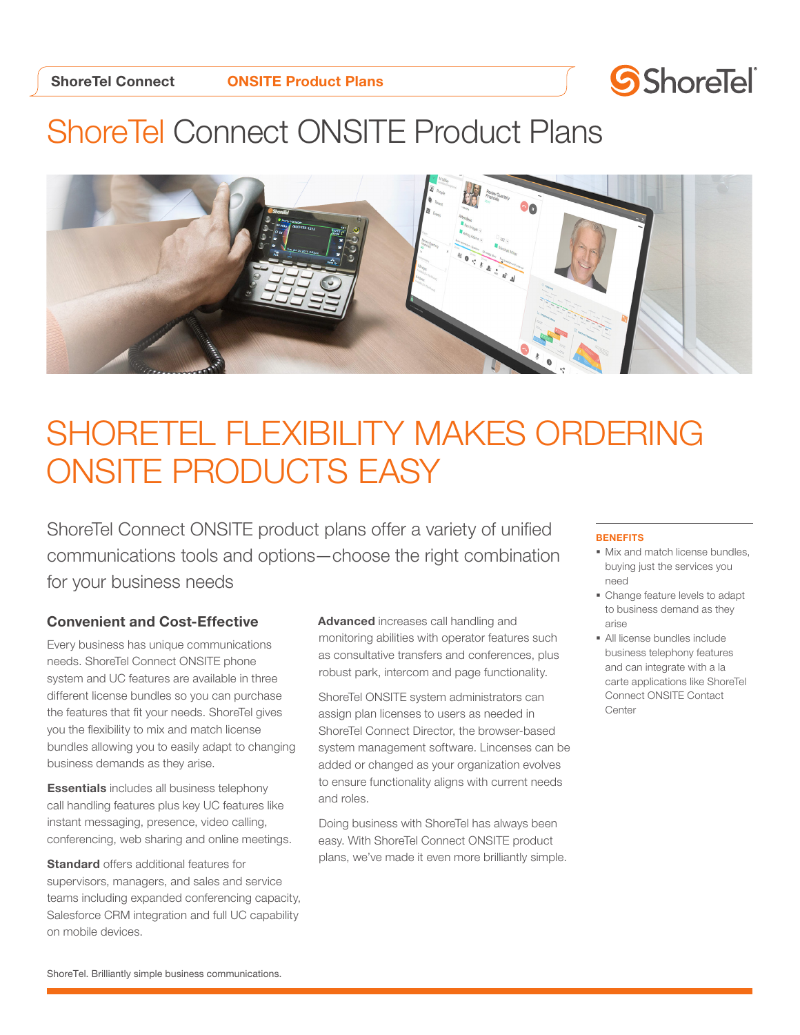

## ShoreTel Connect ONSITE Product Plans



# SHORETEL FLEXIBILITY MAKES ORDERING ONSITE PRODUCTS EASY

ShoreTel Connect ONSITE product plans offer a variety of unified communications tools and options—choose the right combination for your business needs

### Convenient and Cost-Effective

Every business has unique communications needs. ShoreTel Connect ONSITE phone system and UC features are available in three different license bundles so you can purchase the features that fit your needs. ShoreTel gives you the flexibility to mix and match license bundles allowing you to easily adapt to changing business demands as they arise.

Essentials includes all business telephony call handling features plus key UC features like instant messaging, presence, video calling, conferencing, web sharing and online meetings.

**Standard** offers additional features for supervisors, managers, and sales and service teams including expanded conferencing capacity, Salesforce CRM integration and full UC capability on mobile devices.

Advanced increases call handling and monitoring abilities with operator features such as consultative transfers and conferences, plus robust park, intercom and page functionality.

ShoreTel ONSITE system administrators can assign plan licenses to users as needed in ShoreTel Connect Director, the browser-based system management software. Lincenses can be added or changed as your organization evolves to ensure functionality aligns with current needs and roles.

Doing business with ShoreTel has always been easy. With ShoreTel Connect ONSITE product plans, we've made it even more brilliantly simple.

#### **BENEFITS**

- § Mix and match license bundles, buying just the services you need
- § Change feature levels to adapt to business demand as they arise
- § All license bundles include business telephony features and can integrate with a la carte applications like ShoreTel Connect ONSITE Contact Center